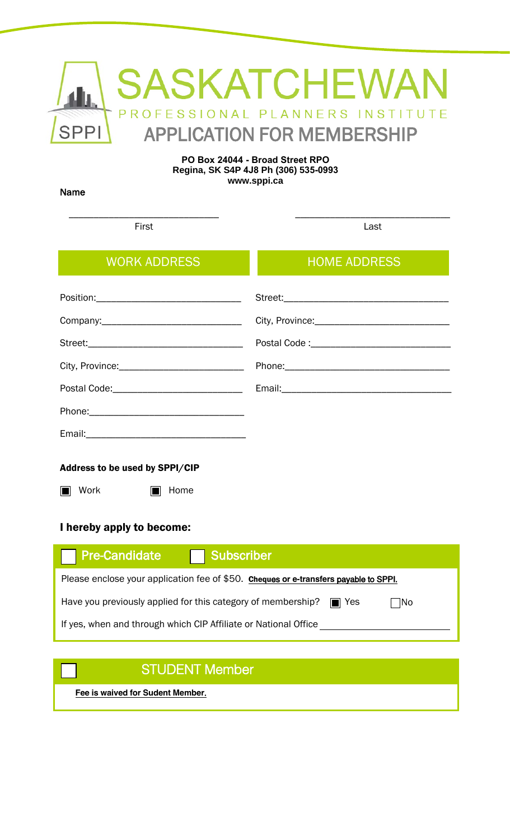|             | <b>AND SASKATCHEWAN</b>           |
|-------------|-----------------------------------|
|             | PROFESSIONAL PLANNERS INSTITUTE   |
| <b>SPPI</b> | <b>APPLICATION FOR MEMBERSHIP</b> |

#### **PO Box 24044 - Broad Street RPO Regina, SK S4P 4J8 Ph (306) 535-0993 www.sppi.ca**

Name

\_\_\_\_\_\_\_\_\_\_\_\_\_\_\_\_\_\_\_\_\_\_\_\_\_\_\_\_\_\_ First

\_\_\_\_\_\_\_\_\_\_\_\_\_\_\_\_\_\_\_\_\_\_\_\_\_\_\_\_\_\_\_ Last

| <b>WORK ADDRESS</b>                                          | <b>HOME ADDRESS</b> |
|--------------------------------------------------------------|---------------------|
|                                                              |                     |
|                                                              |                     |
|                                                              |                     |
| City, Province: __________________________________           |                     |
|                                                              |                     |
|                                                              |                     |
|                                                              |                     |
| Address to be used by SPPI/CIP<br><b>Work</b><br>Home<br>m a |                     |

### I hereby apply to become:

| <b>Pre-Candidate</b><br><b>Subscriber</b>                                               |  |  |  |
|-----------------------------------------------------------------------------------------|--|--|--|
| Please enclose your application fee of \$50. Cheques or e-transfers payable to SPPI.    |  |  |  |
| Have you previously applied for this category of membership? $\square$ Yes<br>$\neg$ No |  |  |  |
| If yes, when and through which CIP Affiliate or National Office                         |  |  |  |

# STUDENT Member

**Fee is waived for Sudent Member**.